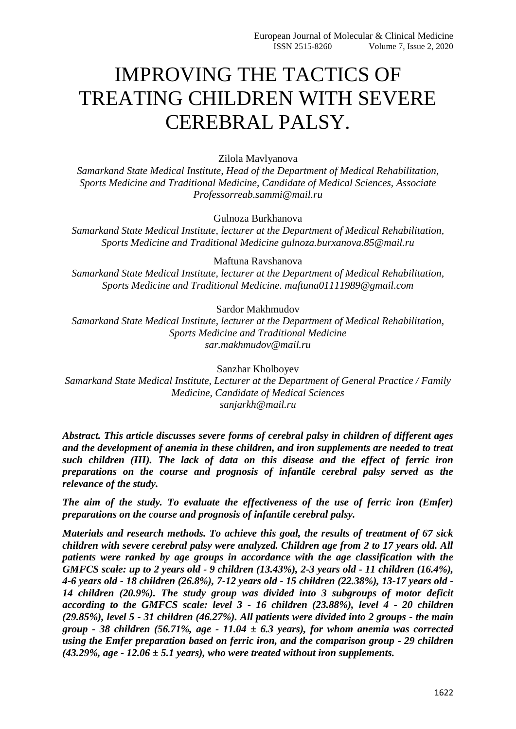# IMPROVING THE TACTICS OF TREATING CHILDREN WITH SEVERE CEREBRAL PALSY.

### Zilola Mavlyanova

*Samarkand State Medical Institute, Head of the Department of Medical Rehabilitation, Sports Medicine and Traditional Medicine, Candidate of Medical Sciences, Associate Professorreab.sammi@mail.ru*

#### Gulnoza Burkhanova

*Samarkand State Medical Institute, lecturer at the Department of Medical Rehabilitation, Sports Medicine and Traditional Medicine gulnoza.burxanova.85@mail.ru*

#### Maftuna Ravshanova

*Samarkand State Medical Institute, lecturer at the Department of Medical Rehabilitation, Sports Medicine and Traditional Medicine. maftuna01111989@gmail.com*

#### Sardor Makhmudov

*Samarkand State Medical Institute, lecturer at the Department of Medical Rehabilitation, Sports Medicine and Traditional Medicine sar.makhmudov@mail.ru*

Sanzhar Kholboyev

*Samarkand State Medical Institute, Lecturer at the Department of General Practice / Family Medicine, Candidate of Medical Sciences sanjarkh@mail.ru*

*Abstract. This article discusses severe forms of cerebral palsy in children of different ages and the development of anemia in these children, and iron supplements are needed to treat such children (III). The lack of data on this disease and the effect of ferric iron preparations on the course and prognosis of infantile cerebral palsy served as the relevance of the study.*

*The aim of the study. To evaluate the effectiveness of the use of ferric iron (Emfer) preparations on the course and prognosis of infantile cerebral palsy.*

*Materials and research methods. To achieve this goal, the results of treatment of 67 sick children with severe cerebral palsy were analyzed. Children age from 2 to 17 years old. All patients were ranked by age groups in accordance with the age classification with the GMFCS scale: up to 2 years old - 9 children (13.43%), 2-3 years old - 11 children (16.4%), 4-6 years old - 18 children (26.8%), 7-12 years old - 15 children (22.38%), 13-17 years old - 14 children (20.9%). The study group was divided into 3 subgroups of motor deficit according to the GMFCS scale: level 3 - 16 children (23.88%), level 4 - 20 children (29.85%), level 5 - 31 children (46.27%). All patients were divided into 2 groups - the main group - 38 children (56.71%, age - 11.04 ± 6.3 years), for whom anemia was corrected using the Emfer preparation based on ferric iron, and the comparison group - 29 children (43.29%, age - 12.06 ± 5.1 years), who were treated without iron supplements.*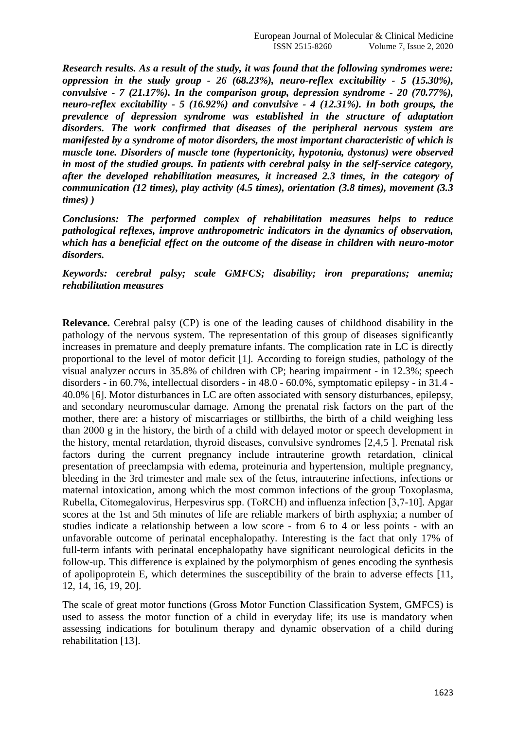*Research results. As a result of the study, it was found that the following syndromes were: oppression in the study group - 26 (68.23%), neuro-reflex excitability - 5 (15.30%), convulsive - 7 (21.17%). In the comparison group, depression syndrome - 20 (70.77%), neuro-reflex excitability - 5 (16.92%) and convulsive - 4 (12.31%). In both groups, the prevalence of depression syndrome was established in the structure of adaptation disorders. The work confirmed that diseases of the peripheral nervous system are manifested by a syndrome of motor disorders, the most important characteristic of which is muscle tone. Disorders of muscle tone (hypertonicity, hypotonia, dystonus) were observed in most of the studied groups. In patients with cerebral palsy in the self-service category, after the developed rehabilitation measures, it increased 2.3 times, in the category of communication (12 times), play activity (4.5 times), orientation (3.8 times), movement (3.3 times) )*

*Conclusions: The performed complex of rehabilitation measures helps to reduce pathological reflexes, improve anthropometric indicators in the dynamics of observation, which has a beneficial effect on the outcome of the disease in children with neuro-motor disorders.*

*Keywords: cerebral palsy; scale GMFCS; disability; iron preparations; anemia; rehabilitation measures*

**Relevance.** Cerebral palsy (CP) is one of the leading causes of childhood disability in the pathology of the nervous system. The representation of this group of diseases significantly increases in premature and deeply premature infants. The complication rate in LC is directly proportional to the level of motor deficit [1]. According to foreign studies, pathology of the visual analyzer occurs in 35.8% of children with CP; hearing impairment - in 12.3%; speech disorders - in 60.7%, intellectual disorders - in 48.0 - 60.0%, symptomatic epilepsy - in 31.4 - 40.0% [6]. Motor disturbances in LC are often associated with sensory disturbances, epilepsy, and secondary neuromuscular damage. Among the prenatal risk factors on the part of the mother, there are: a history of miscarriages or stillbirths, the birth of a child weighing less than 2000 g in the history, the birth of a child with delayed motor or speech development in the history, mental retardation, thyroid diseases, convulsive syndromes [2,4,5 ]. Prenatal risk factors during the current pregnancy include intrauterine growth retardation, clinical presentation of preeclampsia with edema, proteinuria and hypertension, multiple pregnancy, bleeding in the 3rd trimester and male sex of the fetus, intrauterine infections, infections or maternal intoxication, among which the most common infections of the group Toxoplasma, Rubella, Citomegalovirus, Herpesvirus spp. (TоRCH) and influenza infection [3,7-10]. Apgar scores at the 1st and 5th minutes of life are reliable markers of birth asphyxia; a number of studies indicate a relationship between a low score - from 6 to 4 or less points - with an unfavorable outcome of perinatal encephalopathy. Interesting is the fact that only 17% of full-term infants with perinatal encephalopathy have significant neurological deficits in the follow-up. This difference is explained by the polymorphism of genes encoding the synthesis of apolipoprotein E, which determines the susceptibility of the brain to adverse effects [11, 12, 14, 16, 19, 20].

The scale of great motor functions (Gross Motor Function Classification System, GMFCS) is used to assess the motor function of a child in everyday life; its use is mandatory when assessing indications for botulinum therapy and dynamic observation of a child during rehabilitation [13].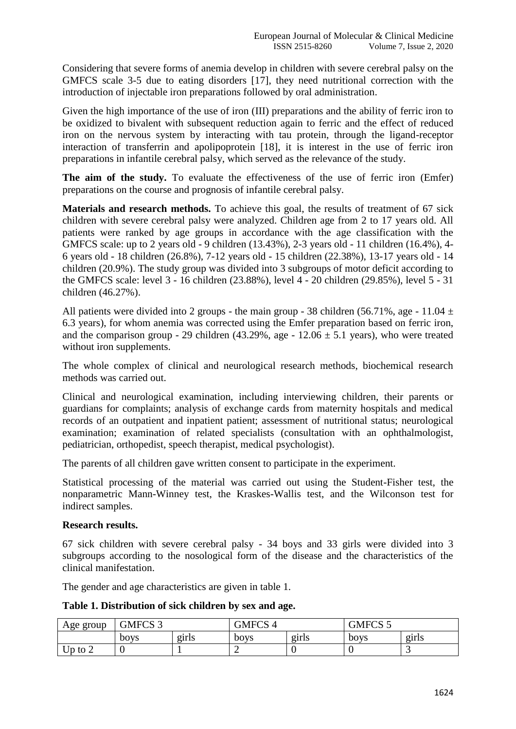Considering that severe forms of anemia develop in children with severe cerebral palsy on the GMFCS scale 3-5 due to eating disorders [17], they need nutritional correction with the introduction of injectable iron preparations followed by oral administration.

Given the high importance of the use of iron (III) preparations and the ability of ferric iron to be oxidized to bivalent with subsequent reduction again to ferric and the effect of reduced iron on the nervous system by interacting with tau protein, through the ligand-receptor interaction of transferrin and apolipoprotein [18], it is interest in the use of ferric iron preparations in infantile cerebral palsy, which served as the relevance of the study.

**The aim of the study.** To evaluate the effectiveness of the use of ferric iron (Emfer) preparations on the course and prognosis of infantile cerebral palsy.

**Materials and research methods.** To achieve this goal, the results of treatment of 67 sick children with severe cerebral palsy were analyzed. Children age from 2 to 17 years old. All patients were ranked by age groups in accordance with the age classification with the GMFCS scale: up to 2 years old - 9 children (13.43%), 2-3 years old - 11 children (16.4%), 4- 6 years old - 18 children (26.8%), 7-12 years old - 15 children (22.38%), 13-17 years old - 14 children (20.9%). The study group was divided into 3 subgroups of motor deficit according to the GMFCS scale: level 3 - 16 children (23.88%), level 4 - 20 children (29.85%), level 5 - 31 children (46.27%).

All patients were divided into 2 groups - the main group - 38 children (56.71%, age - 11.04  $\pm$ 6.3 years), for whom anemia was corrected using the Emfer preparation based on ferric iron, and the comparison group - 29 children (43.29%, age -  $12.06 \pm 5.1$  years), who were treated without iron supplements.

The whole complex of clinical and neurological research methods, biochemical research methods was carried out.

Clinical and neurological examination, including interviewing children, their parents or guardians for complaints; analysis of exchange cards from maternity hospitals and medical records of an outpatient and inpatient patient; assessment of nutritional status; neurological examination; examination of related specialists (consultation with an ophthalmologist, pediatrician, orthopedist, speech therapist, medical psychologist).

The parents of all children gave written consent to participate in the experiment.

Statistical processing of the material was carried out using the Student-Fisher test, the nonparametric Mann-Winney test, the Kraskes-Wallis test, and the Wilconson test for indirect samples.

## **Research results.**

67 sick children with severe cerebral palsy - 34 boys and 33 girls were divided into 3 subgroups according to the nosological form of the disease and the characteristics of the clinical manifestation.

The gender and age characteristics are given in table 1.

**Table 1. Distribution of sick children by sex and age.**

| Age group | GMFCS <sub>3</sub> |       | <b>GMFCS 4</b> |       | GMFCS 5 |       |
|-----------|--------------------|-------|----------------|-------|---------|-------|
|           | boys               | girls | boys           | girls | boys    | girls |
| Up to $2$ |                    |       |                |       |         | ັ     |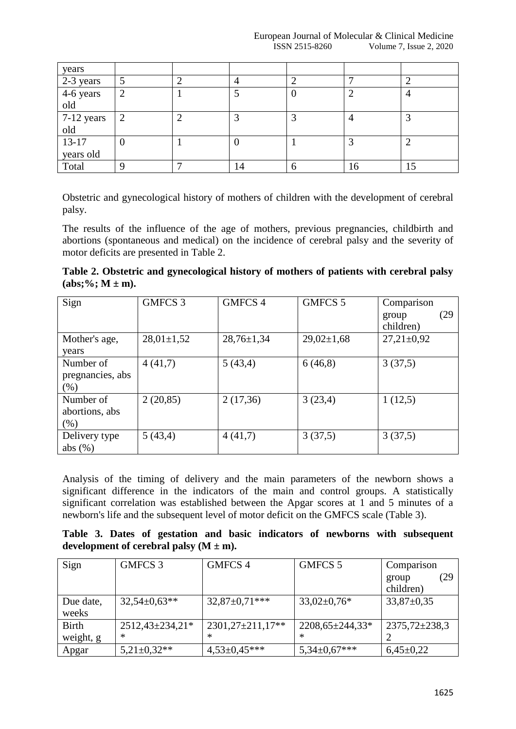| years                                         |                |   |    |   |    |    |
|-----------------------------------------------|----------------|---|----|---|----|----|
|                                               |                |   |    |   |    |    |
| $\frac{2-3 \text{ years}}{4-6 \text{ years}}$ |                |   |    |   |    | 4  |
| old                                           |                |   |    |   |    |    |
| 7-12 years                                    | $\overline{2}$ |   |    | っ |    |    |
| old                                           |                |   |    |   |    |    |
| $13-17$                                       | O              |   |    |   |    | ◠  |
| years old                                     |                |   |    |   |    |    |
| Total                                         |                | − | 14 | 6 | 16 | 15 |

Obstetric and gynecological history of mothers of children with the development of cerebral palsy.

The results of the influence of the age of mothers, previous pregnancies, childbirth and abortions (spontaneous and medical) on the incidence of cerebral palsy and the severity of motor deficits are presented in Table 2.

**Table 2. Obstetric and gynecological history of mothers of patients with cerebral palsy**   $(abs; \%; M \pm m).$ 

| Sign                                  | <b>GMFCS 3</b> | <b>GMFCS 4</b>   | GMFCS 5          | Comparison<br>(29<br>group<br>children) |
|---------------------------------------|----------------|------------------|------------------|-----------------------------------------|
| Mother's age,<br>years                | $28,01\pm1,52$ | $28,76 \pm 1,34$ | $29,02 \pm 1,68$ | $27,21 \pm 0.92$                        |
| Number of<br>pregnancies, abs<br>(%)  | 4(41,7)        | 5(43,4)          | 6(46,8)          | 3(37,5)                                 |
| Number of<br>abortions, abs<br>$(\%)$ | 2(20,85)       | 2(17,36)         | 3(23,4)          | 1(12,5)                                 |
| Delivery type<br>abs $(\%)$           | 5(43,4)        | 4(41,7)          | 3(37,5)          | 3(37,5)                                 |

Analysis of the timing of delivery and the main parameters of the newborn shows a significant difference in the indicators of the main and control groups. A statistically significant correlation was established between the Apgar scores at 1 and 5 minutes of a newborn's life and the subsequent level of motor deficit on the GMFCS scale (Table 3).

**Table 3. Dates of gestation and basic indicators of newborns with subsequent**  development of cerebral palsy  $(M \pm m)$ .

| Sign         | GMFCS 3              | GMFCS <sub>4</sub>   | GMFCS 5              | Comparison        |
|--------------|----------------------|----------------------|----------------------|-------------------|
|              |                      |                      |                      | (29<br>group      |
|              |                      |                      |                      | children)         |
| Due date,    | $32,54 \pm 0.63**$   | $32,87 \pm 0.71$ *** | $33,02\pm0,76*$      | $33,87 \pm 0.35$  |
| weeks        |                      |                      |                      |                   |
| <b>Birth</b> | $2512,43\pm 234,21*$ | $2301,27\pm211,17**$ | $2208,65\pm 244,33*$ | $2375,72\pm238,3$ |
| weight, g    | ∗                    | $\ast$               | $\ast$               |                   |
| Apgar        | $5,21\pm0,32**$      | $4,53\pm0,45***$     | $5,34\pm0,67***$     | $6,45\pm0,22$     |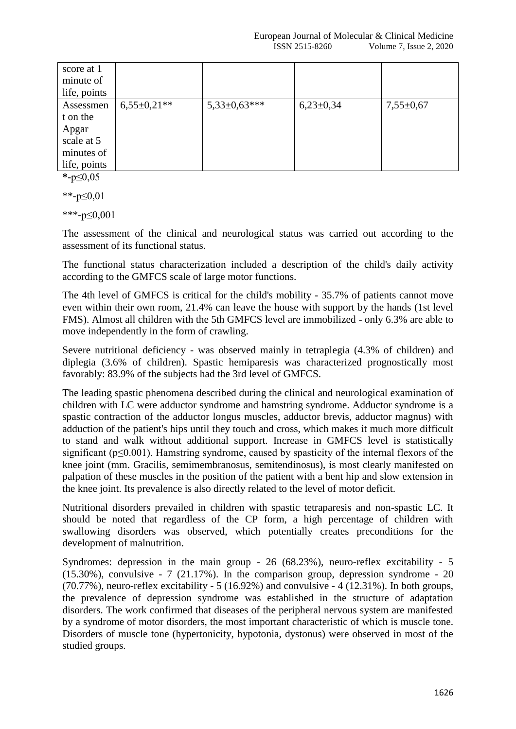| score at 1   |                 |                  |               |                 |
|--------------|-----------------|------------------|---------------|-----------------|
| minute of    |                 |                  |               |                 |
| life, points |                 |                  |               |                 |
| Assessmen    | $6,55\pm0,21**$ | $5,33\pm0,63***$ | $6,23\pm0,34$ | $7,55 \pm 0.67$ |
| t on the     |                 |                  |               |                 |
| Apgar        |                 |                  |               |                 |
| scale at 5   |                 |                  |               |                 |
| minutes of   |                 |                  |               |                 |
| life, points |                 |                  |               |                 |

**\*-**р≤0,05

\*\*- $p<0.01$ 

\*\*\*-р≤0,001

The assessment of the clinical and neurological status was carried out according to the assessment of its functional status.

The functional status characterization included a description of the child's daily activity according to the GMFCS scale of large motor functions.

The 4th level of GMFCS is critical for the child's mobility - 35.7% of patients cannot move even within their own room, 21.4% can leave the house with support by the hands (1st level FMS). Almost all children with the 5th GMFCS level are immobilized - only 6.3% are able to move independently in the form of crawling.

Severe nutritional deficiency - was observed mainly in tetraplegia (4.3% of children) and diplegia (3.6% of children). Spastic hemiparesis was characterized prognostically most favorably: 83.9% of the subjects had the 3rd level of GMFCS.

The leading spastic phenomena described during the clinical and neurological examination of children with LC were adductor syndrome and hamstring syndrome. Adductor syndrome is a spastic contraction of the adductor longus muscles, adductor brevis, adductor magnus) with adduction of the patient's hips until they touch and cross, which makes it much more difficult to stand and walk without additional support. Increase in GMFCS level is statistically significant (p≤0.001). Hamstring syndrome, caused by spasticity of the internal flexors of the knee joint (mm. Gracilis, semimembranosus, semitendinosus), is most clearly manifested on palpation of these muscles in the position of the patient with a bent hip and slow extension in the knee joint. Its prevalence is also directly related to the level of motor deficit.

Nutritional disorders prevailed in children with spastic tetraparesis and non-spastic LC. It should be noted that regardless of the CP form, a high percentage of children with swallowing disorders was observed, which potentially creates preconditions for the development of malnutrition.

Syndromes: depression in the main group - 26 (68.23%), neuro-reflex excitability - 5 (15.30%), convulsive - 7 (21.17%). In the comparison group, depression syndrome - 20  $(70.77%)$ , neuro-reflex excitability - 5 (16.92%) and convulsive - 4 (12.31%). In both groups, the prevalence of depression syndrome was established in the structure of adaptation disorders. The work confirmed that diseases of the peripheral nervous system are manifested by a syndrome of motor disorders, the most important characteristic of which is muscle tone. Disorders of muscle tone (hypertonicity, hypotonia, dystonus) were observed in most of the studied groups.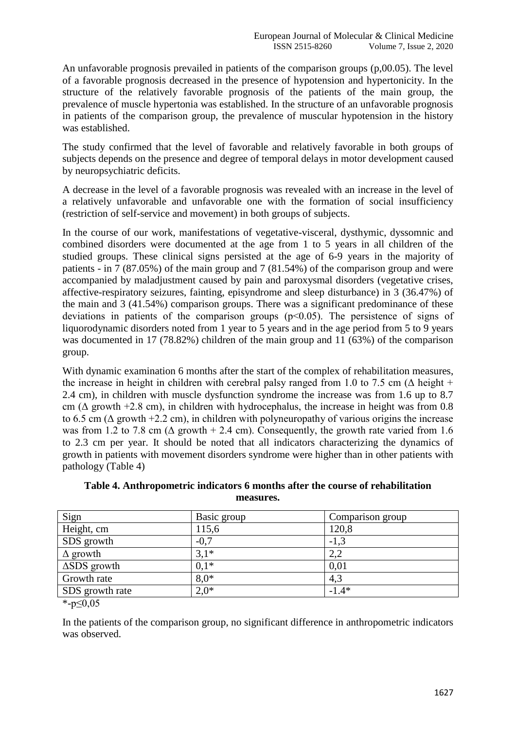An unfavorable prognosis prevailed in patients of the comparison groups (p,00.05). The level of a favorable prognosis decreased in the presence of hypotension and hypertonicity. In the structure of the relatively favorable prognosis of the patients of the main group, the prevalence of muscle hypertonia was established. In the structure of an unfavorable prognosis in patients of the comparison group, the prevalence of muscular hypotension in the history was established.

The study confirmed that the level of favorable and relatively favorable in both groups of subjects depends on the presence and degree of temporal delays in motor development caused by neuropsychiatric deficits.

A decrease in the level of a favorable prognosis was revealed with an increase in the level of a relatively unfavorable and unfavorable one with the formation of social insufficiency (restriction of self-service and movement) in both groups of subjects.

In the course of our work, manifestations of vegetative-visceral, dysthymic, dyssomnic and combined disorders were documented at the age from 1 to 5 years in all children of the studied groups. These clinical signs persisted at the age of 6-9 years in the majority of patients - in 7 (87.05%) of the main group and 7 (81.54%) of the comparison group and were accompanied by maladjustment caused by pain and paroxysmal disorders (vegetative crises, affective-respiratory seizures, fainting, episyndrome and sleep disturbance) in 3 (36.47%) of the main and 3 (41.54%) comparison groups. There was a significant predominance of these deviations in patients of the comparison groups (p˂0.05). The persistence of signs of liquorodynamic disorders noted from 1 year to 5 years and in the age period from 5 to 9 years was documented in 17 (78.82%) children of the main group and 11 (63%) of the comparison group.

With dynamic examination 6 months after the start of the complex of rehabilitation measures, the increase in height in children with cerebral palsy ranged from 1.0 to 7.5 cm ( $\Delta$  height + 2.4 cm), in children with muscle dysfunction syndrome the increase was from 1.6 up to 8.7 cm ( $\Delta$  growth +2.8 cm), in children with hydrocephalus, the increase in height was from 0.8 to 6.5 cm ( $\Delta$  growth +2.2 cm), in children with polyneuropathy of various origins the increase was from 1.2 to 7.8 cm ( $\Delta$  growth + 2.4 cm). Consequently, the growth rate varied from 1.6 to 2.3 cm per year. It should be noted that all indicators characterizing the dynamics of growth in patients with movement disorders syndrome were higher than in other patients with pathology (Table 4)

| Sign                | Basic group | Comparison group |
|---------------------|-------------|------------------|
| Height, cm          | 115,6       | 120,8            |
| SDS growth          | $-0,7$      | $-1,3$           |
| $\Delta$ growth     | $3,1*$      | 2,2              |
| $\Delta$ SDS growth | $0,1*$      | 0,01             |
| Growth rate         | $8.0*$      | 4,3              |
| SDS growth rate     | $2.0*$      | $-1.4*$          |
|                     |             |                  |

**Table 4. Anthropometric indicators 6 months after the course of rehabilitation measures.**

\*- $p \le 0.05$ 

In the patients of the comparison group, no significant difference in anthropometric indicators was observed.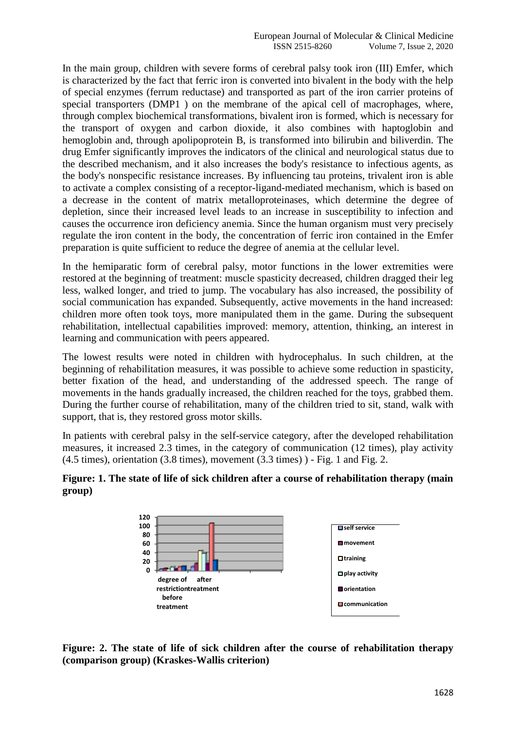In the main group, children with severe forms of cerebral palsy took iron (III) Emfer, which is characterized by the fact that ferric iron is converted into bivalent in the body with the help of special enzymes (ferrum reductase) and transported as part of the iron carrier proteins of special transporters (DMP1 ) on the membrane of the apical cell of macrophages, where, through complex biochemical transformations, bivalent iron is formed, which is necessary for the transport of oxygen and carbon dioxide, it also combines with haptoglobin and hemoglobin and, through apolipoprotein B, is transformed into bilirubin and biliverdin. The drug Emfer significantly improves the indicators of the clinical and neurological status due to the described mechanism, and it also increases the body's resistance to infectious agents, as the body's nonspecific resistance increases. By influencing tau proteins, trivalent iron is able to activate a complex consisting of a receptor-ligand-mediated mechanism, which is based on a decrease in the content of matrix metalloproteinases, which determine the degree of depletion, since their increased level leads to an increase in susceptibility to infection and causes the occurrence iron deficiency anemia. Since the human organism must very precisely regulate the iron content in the body, the concentration of ferric iron contained in the Emfer preparation is quite sufficient to reduce the degree of anemia at the cellular level.

In the hemiparatic form of cerebral palsy, motor functions in the lower extremities were restored at the beginning of treatment: muscle spasticity decreased, children dragged their leg less, walked longer, and tried to jump. The vocabulary has also increased, the possibility of social communication has expanded. Subsequently, active movements in the hand increased: children more often took toys, more manipulated them in the game. During the subsequent rehabilitation, intellectual capabilities improved: memory, attention, thinking, an interest in learning and communication with peers appeared.

The lowest results were noted in children with hydrocephalus. In such children, at the beginning of rehabilitation measures, it was possible to achieve some reduction in spasticity, better fixation of the head, and understanding of the addressed speech. The range of movements in the hands gradually increased, the children reached for the toys, grabbed them. During the further course of rehabilitation, many of the children tried to sit, stand, walk with support, that is, they restored gross motor skills.

In patients with cerebral palsy in the self-service category, after the developed rehabilitation measures, it increased 2.3 times, in the category of communication (12 times), play activity  $(4.5 \text{ times})$ , orientation  $(3.8 \text{ times})$ , movement  $(3.3 \text{ times})$ ) - Fig. 1 and Fig. 2.

## **Figure: 1. The state of life of sick children after a course of rehabilitation therapy (main group)**



**Figure: 2. The state of life of sick children after the course of rehabilitation therapy (comparison group) (Kraskes-Wallis criterion)**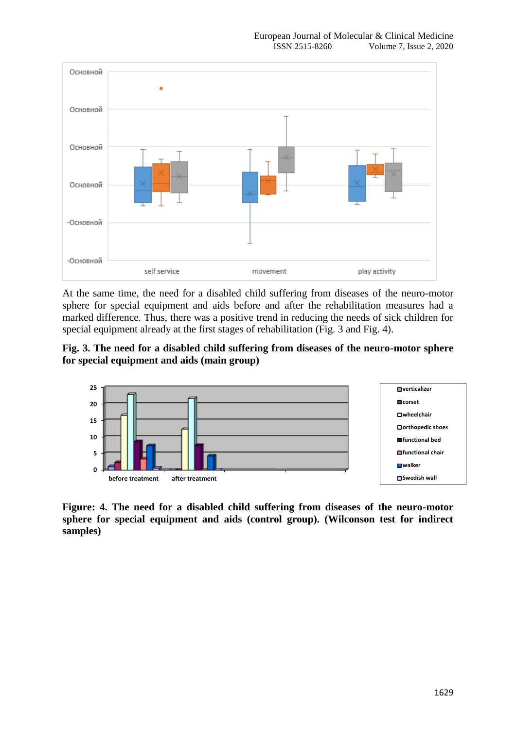

At the same time, the need for a disabled child suffering from diseases of the neuro-motor sphere for special equipment and aids before and after the rehabilitation measures had a marked difference. Thus, there was a positive trend in reducing the needs of sick children for special equipment already at the first stages of rehabilitation (Fig. 3 and Fig. 4).

**Fig. 3. The need for a disabled child suffering from diseases of the neuro-motor sphere for special equipment and aids (main group)**



**Figure: 4. The need for a disabled child suffering from diseases of the neuro-motor sphere for special equipment and aids (control group). (Wilconson test for indirect samples)**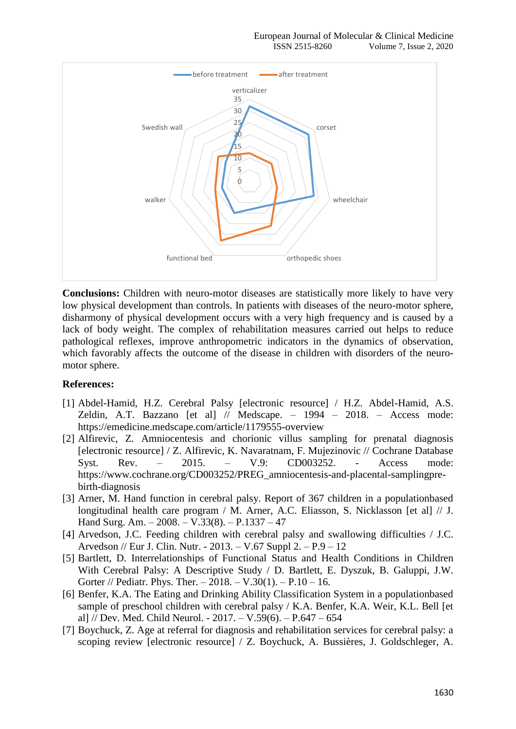

**Conclusions:** Children with neuro-motor diseases are statistically more likely to have very low physical development than controls. In patients with diseases of the neuro-motor sphere, disharmony of physical development occurs with a very high frequency and is caused by a lack of body weight. The complex of rehabilitation measures carried out helps to reduce pathological reflexes, improve anthropometric indicators in the dynamics of observation, which favorably affects the outcome of the disease in children with disorders of the neuromotor sphere.

#### **References:**

- [1] Abdel-Hamid, H.Z. Cerebral Palsy [electronic resource] / H.Z. Abdel-Hamid, A.S. Zeldin, A.T. Bazzano [et al] // Medscape. – 1994 – 2018. – Access mode: https://emedicine.medscape.com/article/1179555-overview
- [2] Alfirevic, Z. Amniocentesis and chorionic villus sampling for prenatal diagnosis [electronic resource] / Z. Alfirevic, K. Navaratnam, F. Mujezinovic // Cochrane Database Syst. Rev. – 2015. – V.9: CD003252. - Access mode: https://www.cochrane.org/CD003252/PREG\_amniocentesis-and-placental-samplingprebirth-diagnosis
- [3] Arner, M. Hand function in cerebral palsy. Report of 367 children in a populationbased longitudinal health care program / M. Arner, A.C. Eliasson, S. Nicklasson [et al] // J. Hand Surg. Am. – 2008. – V.33(8). – P.1337 – 47
- [4] Arvedson, J.C. Feeding children with cerebral palsy and swallowing difficulties / J.C. Arvedson // Eur J. Clin. Nutr. - 2013. – V.67 Suppl 2. – P.9 – 12
- [5] Bartlett, D. Interrelationships of Functional Status and Health Conditions in Children With Cerebral Palsy: A Descriptive Study / D. Bartlett, E. Dyszuk, B. Galuppi, J.W. Gorter // Pediatr. Phys. Ther.  $-2018. - V.30(1)$ .  $- P.10 - 16$ .
- [6] Benfer, K.A. The Eating and Drinking Ability Classification System in a populationbased sample of preschool children with cerebral palsy / K.A. Benfer, K.A. Weir, K.L. Bell [et al] // Dev. Med. Child Neurol. - 2017. – V.59(6). – P.647 – 654
- [7] Boychuck, Z. Age at referral for diagnosis and rehabilitation services for cerebral palsy: a scoping review [electronic resource] / Z. Boychuck, A. Bussières, J. Goldschleger, A.